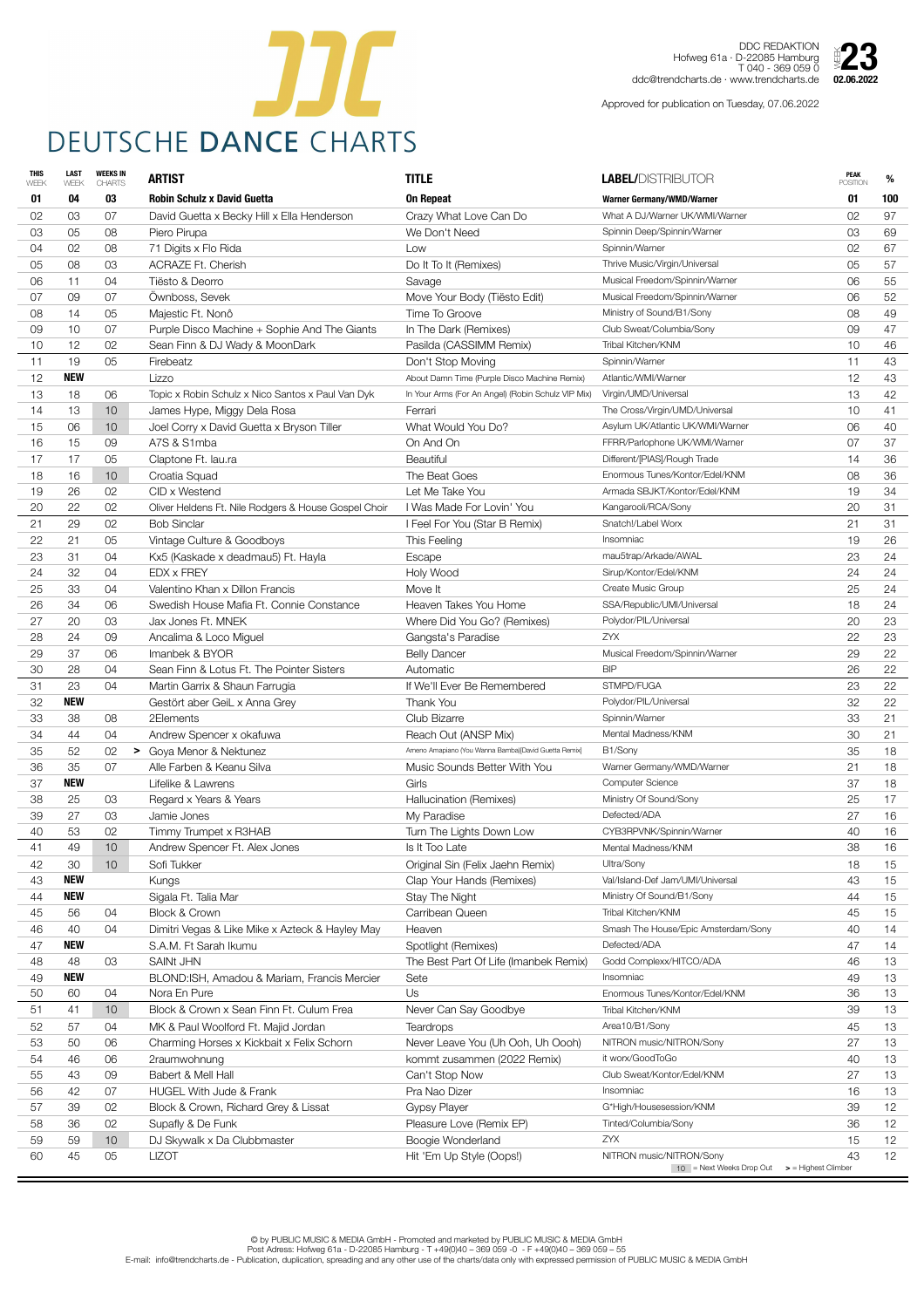| <b>THIS</b><br>WEEK | <b>LAST</b><br>WEEK | <b>WEEKS IN</b><br><b>CHARTS</b> | <b>ARTIST</b>                                        | <b>TITLE</b>                                         | <b>LABEL/DISTRIBUTOR</b>                                                               | <b>PEAK</b><br><b>POSITION</b> | %                 |
|---------------------|---------------------|----------------------------------|------------------------------------------------------|------------------------------------------------------|----------------------------------------------------------------------------------------|--------------------------------|-------------------|
| 01                  | 04                  | 03                               | <b>Robin Schulz x David Guetta</b>                   | <b>On Repeat</b>                                     | <b>Warner Germany/WMD/Warner</b>                                                       | 01                             | 100               |
| 02                  | 03                  | 07                               | David Guetta x Becky Hill x Ella Henderson           | Crazy What Love Can Do                               | What A DJ/Warner UK/WMI/Warner                                                         | 02                             | 97                |
| 03                  | 05                  | 08                               | Piero Pirupa                                         | We Don't Need                                        | Spinnin Deep/Spinnin/Warner                                                            | 03                             | 69                |
| 04                  | 02                  | 08                               | 71 Digits x Flo Rida                                 | Low                                                  | Spinnin/Warner                                                                         | 02                             | 67                |
| 05                  | 08                  | 03                               | <b>ACRAZE Ft. Cherish</b>                            | Do It To It (Remixes)                                | Thrive Music/Virgin/Universal                                                          | 05                             | 57                |
| 06                  | 11                  | 04                               | Tiësto & Deorro                                      | Savage                                               | Musical Freedom/Spinnin/Warner                                                         | 06                             | 55                |
| 07                  | 09                  | 07                               | Ownboss, Sevek                                       | Move Your Body (Tiësto Edit)                         | Musical Freedom/Spinnin/Warner                                                         | 06                             | 52                |
| 08                  | 14                  | 05                               | Majestic Ft. Nonô                                    | Time To Groove                                       | Ministry of Sound/B1/Sony                                                              | 08                             | 49                |
| 09                  | 10 <sup>1</sup>     | 07                               | Purple Disco Machine + Sophie And The Giants         | In The Dark (Remixes)                                | Club Sweat/Columbia/Sony                                                               | 09                             | 47                |
| 10                  | 12                  | 02                               | Sean Finn & DJ Wady & MoonDark                       | Pasilda (CASSIMM Remix)                              | Tribal Kitchen/KNM                                                                     | 10                             | 46                |
| 11                  | 19                  | 05                               | Firebeatz                                            | Don't Stop Moving                                    | Spinnin/Warner                                                                         | 11                             | 43                |
| 12                  | <b>NEW</b>          |                                  | Lizzo                                                | About Damn Time (Purple Disco Machine Remix)         | Atlantic/WMI/Warner                                                                    | 12                             | 43                |
| 13                  | 18                  | 06                               | Topic x Robin Schulz x Nico Santos x Paul Van Dyk    | In Your Arms (For An Angel) (Robin Schulz VIP Mix)   | Virgin/UMD/Universal                                                                   | 13                             | 42                |
| 14                  | 13                  | 10                               | James Hype, Miggy Dela Rosa                          | Ferrari                                              | The Cross/Virgin/UMD/Universal                                                         | 10                             | 41                |
| 15                  | 06                  | 10                               | Joel Corry x David Guetta x Bryson Tiller            | What Would You Do?                                   | Asylum UK/Atlantic UK/WMI/Warner                                                       | 06                             | 40                |
| 16                  | 15                  | 09                               | A7S & S1mba                                          | On And On                                            | FFRR/Parlophone UK/WMI/Warner                                                          | 07                             | 37                |
| 17                  | 17                  | 05                               | Claptone Ft. lau.ra                                  | <b>Beautiful</b>                                     | Different/[PIAS]/Rough Trade                                                           | 14                             | 36                |
| 18                  | 16                  | 10 <sup>°</sup>                  | Croatia Squad                                        | The Beat Goes                                        | Enormous Tunes/Kontor/Edel/KNM                                                         | 08                             | 36                |
| 19                  | 26                  | 02                               | CID x Westend                                        | Let Me Take You                                      | Armada SBJKT/Kontor/Edel/KNM                                                           | 19                             | 34                |
| 20                  | 22                  | 02                               | Oliver Heldens Ft. Nile Rodgers & House Gospel Choir | I Was Made For Lovin' You                            | Kangarooli/RCA/Sony                                                                    | 20                             | 31                |
| 21                  | 29                  | 02                               | <b>Bob Sinclar</b>                                   | I Feel For You (Star B Remix)                        | Snatch!/Label Worx                                                                     | 21                             | 31                |
| 22                  | 21                  | 05                               | Vintage Culture & Goodboys                           | This Feeling                                         | Insomniac                                                                              | 19                             | 26                |
| 23                  | 31                  | 04                               | Kx5 (Kaskade x deadmau5) Ft. Hayla                   | Escape                                               | mau5trap/Arkade/AWAL                                                                   | 23                             | 24                |
| 24                  | 32                  | 04                               | <b>EDX x FREY</b>                                    | Holy Wood                                            | Sirup/Kontor/Edel/KNM                                                                  | 24                             | 24                |
| 25                  | 33                  | 04                               | Valentino Khan x Dillon Francis                      | Move It                                              | Create Music Group                                                                     | 25                             | 24                |
| 26                  | 34                  | 06                               | Swedish House Mafia Ft. Connie Constance             | Heaven Takes You Home                                | SSA/Republic/UMI/Universal                                                             | 18                             | 24                |
| 27                  | 20                  | 03                               | Jax Jones Ft. MNEK                                   | Where Did You Go? (Remixes)                          | Polydor/PIL/Universal                                                                  | 20                             | 23                |
| 28                  | 24                  | 09                               | Ancalima & Loco Miguel                               | Gangsta's Paradise                                   | <b>ZYX</b>                                                                             | 22                             | 23                |
| 29                  | 37                  | 06                               | Imanbek & BYOR                                       | <b>Belly Dancer</b>                                  | Musical Freedom/Spinnin/Warner                                                         | 29                             | 22                |
| 30                  | 28                  | 04                               | Sean Finn & Lotus Ft. The Pointer Sisters            | Automatic                                            | <b>BIP</b>                                                                             | 26                             | 22                |
| 31                  | 23                  | 04                               | Martin Garrix & Shaun Farrugia                       | If We'll Ever Be Remembered                          | STMPD/FUGA                                                                             | 23                             | 22                |
| 32                  | <b>NEW</b>          |                                  | Gestört aber GeiL x Anna Grey                        | Thank You                                            | Polydor/PIL/Universal                                                                  | 32                             | 22                |
| 33                  | 38                  | 08                               | 2Elements                                            | <b>Club Bizarre</b>                                  | Spinnin/Warner                                                                         | 33                             | 21                |
| 34                  | 44                  | 04                               | Andrew Spencer x okafuwa                             | Reach Out (ANSP Mix)                                 | Mental Madness/KNM                                                                     | 30                             | 21                |
| 35                  | 52                  | 02                               | > Goya Menor & Nektunez                              | Ameno Amapiano (You Wanna Bamba)[David Guetta Remix] | B1/Sony                                                                                | 35                             | 18                |
| 36                  | 35                  | 07                               | Alle Farben & Keanu Silva                            | Music Sounds Better With You                         | Warner Germany/WMD/Warner                                                              | 21                             | 18                |
| 37                  | <b>NEW</b>          |                                  | Lifelike & Lawrens                                   | Girls                                                | <b>Computer Science</b>                                                                | 37                             | 18                |
| 38                  | 25                  | 03                               | Regard x Years & Years                               | Hallucination (Remixes)                              | Ministry Of Sound/Sony                                                                 | 25                             | 17                |
| 39                  | 27                  | 03                               | Jamie Jones                                          | My Paradise                                          | Defected/ADA                                                                           | 27                             | 16                |
| 40                  | 53                  | 02                               | Timmy Trumpet x R3HAB                                | Turn The Lights Down Low                             | CYB3RPVNK/Spinnin/Warner                                                               | 40                             | 16                |
| 41                  | 49                  | 10                               | Andrew Spencer Ft. Alex Jones                        | Is It Too Late                                       | Mental Madness/KNM                                                                     | 38                             | 16                |
| 42                  | 30                  | 10                               | Sofi Tukker                                          | Original Sin (Felix Jaehn Remix)                     | Ultra/Sony                                                                             | 18                             | 15                |
| 43                  | <b>NEW</b>          |                                  | Kungs                                                | Clap Your Hands (Remixes)                            | Val/Island-Def Jam/UMI/Universal                                                       | 43                             | 15                |
| 44                  | <b>NEW</b>          |                                  | Sigala Ft. Talia Mar                                 | Stay The Night                                       | Ministry Of Sound/B1/Sony                                                              | 44                             | 15                |
| 45                  | 56                  | 04                               | <b>Block &amp; Crown</b>                             | Carribean Queen                                      | Tribal Kitchen/KNM                                                                     | 45                             | 15                |
| 46                  | 40                  | 04                               | Dimitri Vegas & Like Mike x Azteck & Hayley May      | Heaven                                               | Smash The House/Epic Amsterdam/Sony                                                    | 40                             | 14                |
| 47                  | <b>NEW</b>          |                                  | S.A.M. Ft Sarah Ikumu                                | Spotlight (Remixes)                                  | Defected/ADA                                                                           | 47                             | 14                |
| 48                  | 48                  | 03                               | <b>SAINt JHN</b>                                     | The Best Part Of Life (Imanbek Remix)                | Godd Complexx/HITCO/ADA                                                                | 46                             | 13                |
| 49                  | <b>NEW</b>          |                                  | BLOND:ISH, Amadou & Mariam, Francis Mercier          | Sete                                                 | Insomniac                                                                              | 49                             | 13                |
| 50                  | 60                  | 04                               | Nora En Pure                                         | Us                                                   | Enormous Tunes/Kontor/Edel/KNM                                                         | 36                             | 13                |
| 51                  | 41                  | 10 <sup>°</sup>                  | Block & Crown x Sean Finn Ft. Culum Frea             | Never Can Say Goodbye                                | Tribal Kitchen/KNM                                                                     | 39                             | 13                |
| 52                  | 57                  | 04                               | MK & Paul Woolford Ft. Majid Jordan                  | <b>Teardrops</b>                                     | Area10/B1/Sony                                                                         | 45                             | 13                |
| 53                  | 50                  | 06                               | Charming Horses x Kickbait x Felix Schorn            | Never Leave You (Uh Ooh, Uh Oooh)                    | NITRON music/NITRON/Sony                                                               | 27                             | 13                |
| 54                  | 46                  | 06                               | 2raumwohnung                                         | kommt zusammen (2022 Remix)                          | it worx/GoodToGo                                                                       | 40                             | 13                |
| 55                  | 43                  | 09                               | Babert & Mell Hall                                   | Can't Stop Now                                       | Club Sweat/Kontor/Edel/KNM                                                             | 27                             | 13                |
| 56                  | 42                  | 07                               | <b>HUGEL With Jude &amp; Frank</b>                   | Pra Nao Dizer                                        | Insomniac                                                                              | 16                             | 13                |
| 57                  | 39                  | 02                               | Block & Crown, Richard Grey & Lissat                 | <b>Gypsy Player</b>                                  | G*High/Housesession/KNM                                                                | 39                             | 12                |
| 58                  | 36                  | 02                               | Supafly & De Funk                                    | Pleasure Love (Remix EP)                             | Tinted/Columbia/Sony                                                                   | 36                             | 12                |
| 59                  | 59                  | 10 <sup>°</sup>                  | DJ Skywalk x Da Clubbmaster                          | Boogie Wonderland                                    | ZYX                                                                                    | 15                             | $12 \overline{ }$ |
| 60                  | 45                  | 05                               | <b>LIZOT</b>                                         | Hit 'Em Up Style (Oops!)                             | NITRON music/NITRON/Sony<br>$10$ = Next Weeks Drop Out $\Rightarrow$ = Highest Climber | 43                             | 12                |
|                     |                     |                                  |                                                      |                                                      |                                                                                        |                                |                   |



DDC REDAKTION Hofweg 61a · D-22085 Hamburg T 040 - 369 059 0 ddc@trendcharts.de · www.trendcharts.de

Approved for publication on Tuesday, 07.06.2022